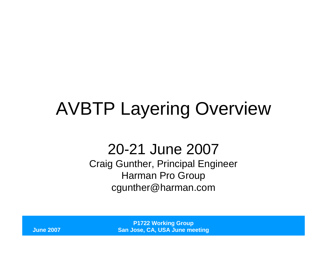# AVBTP Layering Overview

#### 20-21 June 2007

 Craig Gunther, Principal EngineerHarman Pro Groupcgunther@harman.com

> **P1722 Working GroupSan Jose, CA, USA June meeting**

**June 2007**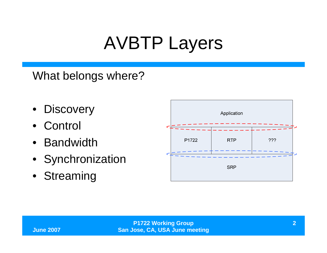## AVBTP Layers

What belongs where?

- Discovery
- $\bullet$ **Control**
- Bandwidth
- Synchronization
- Streaming

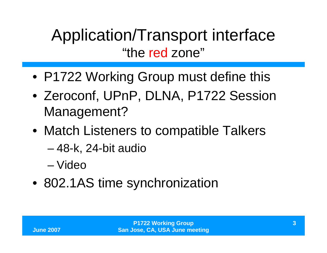## Application/Transport interface"the red zone"

- P1722 Working Group must define this
- Zeroconf, UPnP, DLNA, P1722 Session Management?
- Match Listeners to compatible Talkers
	- 48-k, 24-bit audio
	- –Video
- 802.1AS time synchronization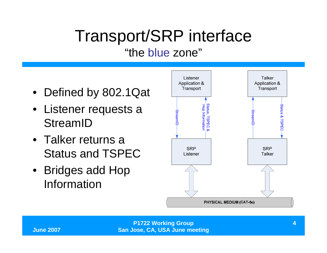### Transport/SRP interface"the blue zone"

- Defined by 802.1Qat
- Listener requests a StreamID
- Talker returns a Status and TSPEC
- Bridges add Hop Information

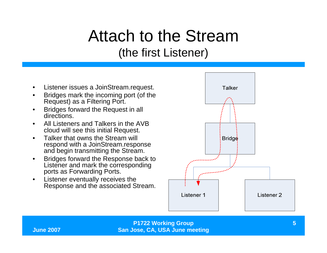### Attach to the Stream(the first Listener)

- •Listener issues a JoinStream.request.
- • Bridges mark the incoming port (of the Request) as a Filtering Port.
- • Bridges forward the Request in all directions.
- • All Listeners and Talkers in the AVB cloud will see this initial Request.
- $\bullet$  Talker that owns the Stream will respond with a JoinStream.responseand begin transmitting the Stream.
- Bridges forward the Response back to •Listener and mark the corresponding ports as Forwarding Ports.
- $\bullet$  Listener eventually receives the Response and the associated Stream.



**P1722 Working GroupSan Jose, CA, USA June meeting**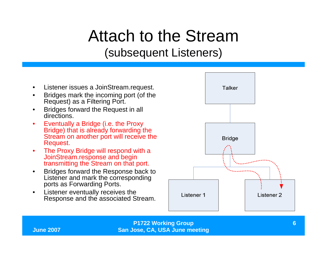### Attach to the Stream(subsequent Listeners)

- •Listener issues a JoinStream.request.
- • Bridges mark the incoming port (of the Request) as a Filtering Port.
- • Bridges forward the Request in all directions.
- $\bullet$  Eventually a Bridge (i.e. the Proxy Bridge) that is already forwarding the Stream on another port will receive the Request.
- $\bullet$  The Proxy Bridge will respond with a JoinStream.response and begin transmitting the Stream on that port.
- $\bullet$  Bridges forward the Response back to Listener and mark the corresponding ports as Forwarding Ports.
- Listener eventually receives the  $\bullet$ Response and the associated Stream.



**P1722 Working GroupSan Jose, CA, USA June meeting**